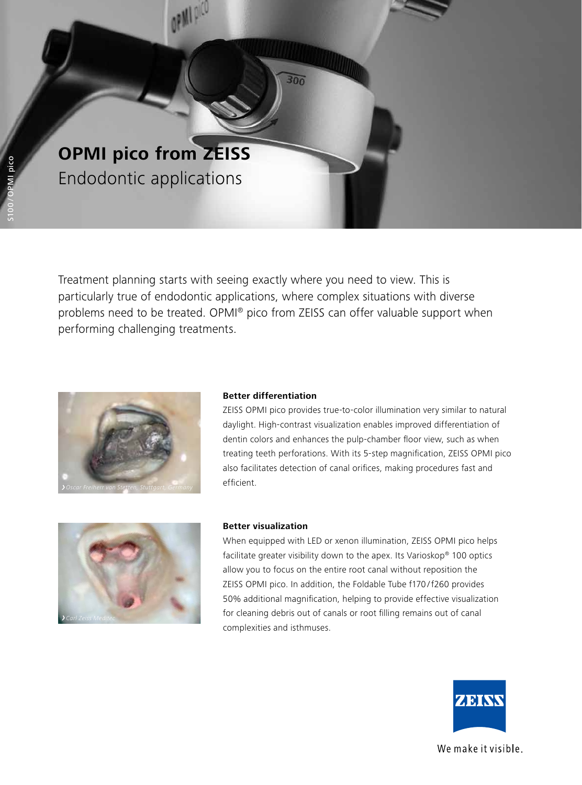

Treatment planning starts with seeing exactly where you need to view. This is particularly true of endodontic applications, where complex situations with diverse problems need to be treated. OPMI® pico from ZEISS can offer valuable support when performing challenging treatments.

 $300$ 



# **Better differentiation**

ZEISS OPMI pico provides true-to-color illumination very similar to natural daylight. High-contrast visualization enables improved differentiation of dentin colors and enhances the pulp-chamber floor view, such as when treating teeth perforations. With its 5-step magnification, ZEISS OPMI pico also facilitates detection of canal orifices, making procedures fast and efficient.



#### **Better visualization**

When equipped with LED or xenon illumination, ZEISS OPMI pico helps facilitate greater visibility down to the apex. Its Varioskop® 100 optics allow you to focus on the entire root canal without reposition the ZEISS OPMI pico. In addition, the Foldable Tube f170 /f260 provides 50% additional magnification, helping to provide effective visualization for cleaning debris out of canals or root filling remains out of canal complexities and isthmuses.



We make it visible.